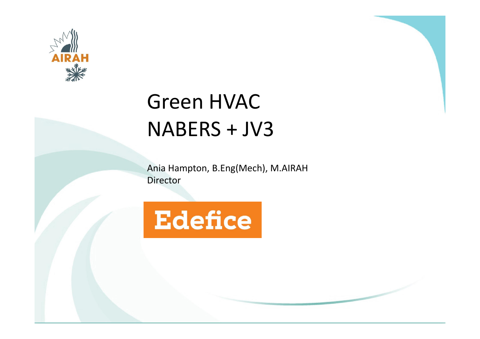

### Green HVAC NABERS + JV3

Ania Hampton, B.Eng(Mech), M.AIRAH Director

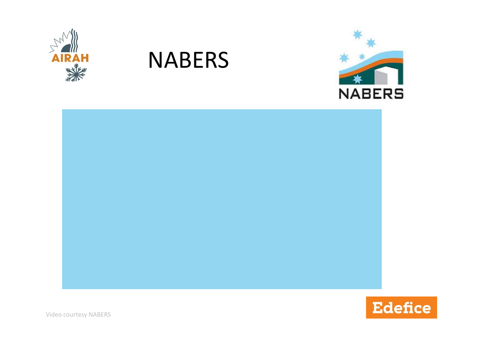

#### NABERS





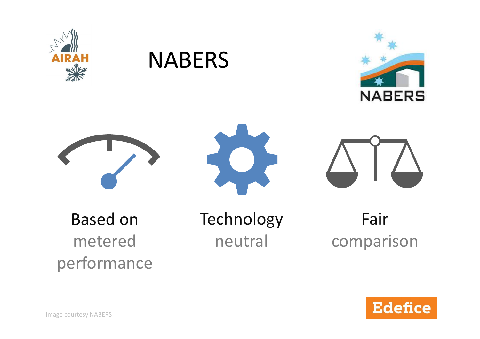

#### NABERS









Based on metered performance Technology neutral

Fair comparison

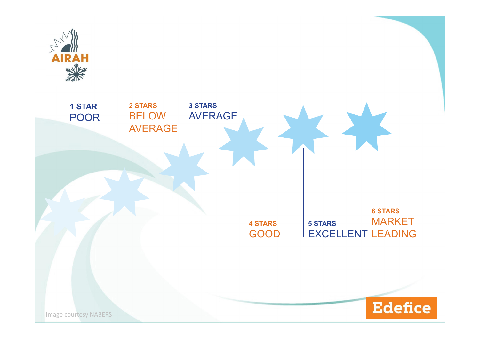

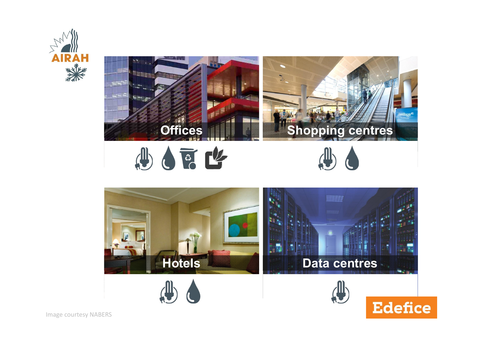



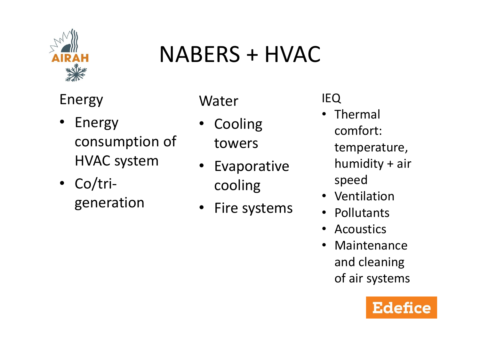

### NABERS + HVAC

Energy

- Energy consumption of HVAC system
- Co/trigeneration

Water

- Cooling towers
- **Evaporative** cooling
- Fire systems

IEQ

- Thermal comfort: temperature, humidity + air speed
- Ventilation
- Pollutants
- Acoustics
- Maintenance and cleaning of air systems

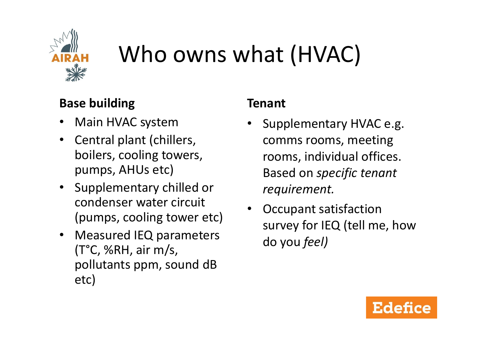

# Who owns what (HVAC)

#### **Base building**

- Main HVAC system
- Central plant (chillers, boilers, cooling towers, pumps, AHUs etc)
- Supplementary chilled or condenser water circuit (pumps, cooling tower etc)
- Measured IEQ parameters (T°C, %RH, air m/s, pollutants ppm, sound dB etc)

#### **Tenant**

- Supplementary HVAC e.g. comms rooms, meeting rooms, individual offices. Based on *specific tenant requirement.*
- Occupant satisfaction survey for IEQ (tell me, how do you *feel)*

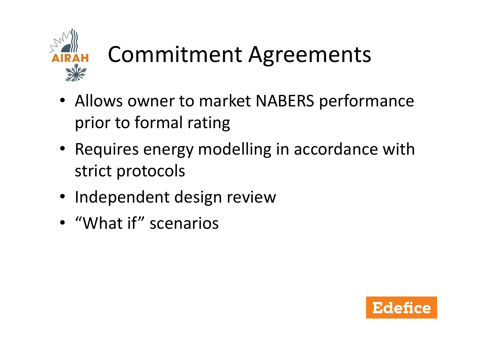

# Commitment Agreements

- Allows owner to market NABERS performance prior to formal rating
- Requires energy modelling in accordance with strict protocols
- Independent design review
- "What if" scenarios

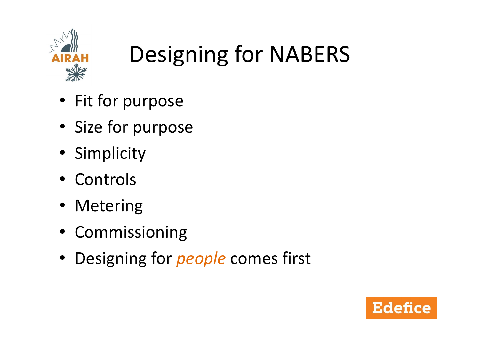

# Designing for NABERS

- Fit for purpose
- Size for purpose
- Simplicity
- Controls
- Metering
- Commissioning
- Designing for *people* comes first

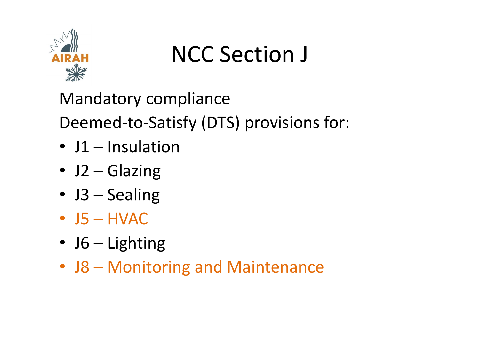

# NCC Section J

Mandatory compliance

Deemed-to-Satisfy (DTS) provisions for:

- J1 Insulation
- J2 Glazing
- J3 Sealing
- $\cdot$  J5 HVAC
- J6 Lighting
- J8 Monitoring and Maintenance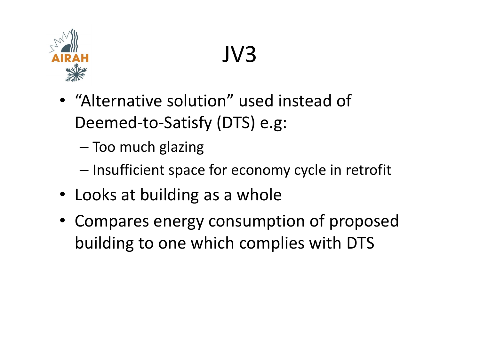

# JV3

- "Alternative solution" used instead of Deemed-to-Satisfy (DTS) e.g:
	- Too much glazing
	- Insufficient space for economy cycle in retrofit
- Looks at building as a whole
- Compares energy consumption of proposed building to one which complies with DTS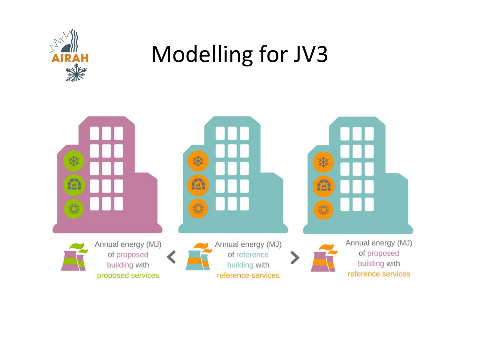

## Modelling for JV3